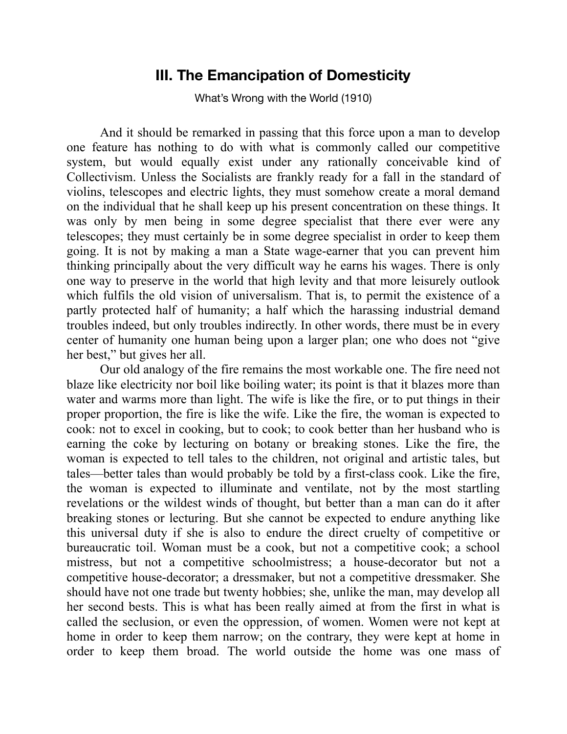## **III. The Emancipation of Domesticity**

What's Wrong with the World (1910)

 And it should be remarked in passing that this force upon a man to develop one feature has nothing to do with what is commonly called our competitive system, but would equally exist under any rationally conceivable kind of Collectivism. Unless the Socialists are frankly ready for a fall in the standard of violins, telescopes and electric lights, they must somehow create a moral demand on the individual that he shall keep up his present concentration on these things. It was only by men being in some degree specialist that there ever were any telescopes; they must certainly be in some degree specialist in order to keep them going. It is not by making a man a State wage-earner that you can prevent him thinking principally about the very difficult way he earns his wages. There is only one way to preserve in the world that high levity and that more leisurely outlook which fulfils the old vision of universalism. That is, to permit the existence of a partly protected half of humanity; a half which the harassing industrial demand troubles indeed, but only troubles indirectly. In other words, there must be in every center of humanity one human being upon a larger plan; one who does not "give her best," but gives her all.

 Our old analogy of the fire remains the most workable one. The fire need not blaze like electricity nor boil like boiling water; its point is that it blazes more than water and warms more than light. The wife is like the fire, or to put things in their proper proportion, the fire is like the wife. Like the fire, the woman is expected to cook: not to excel in cooking, but to cook; to cook better than her husband who is earning the coke by lecturing on botany or breaking stones. Like the fire, the woman is expected to tell tales to the children, not original and artistic tales, but tales—better tales than would probably be told by a first-class cook. Like the fire, the woman is expected to illuminate and ventilate, not by the most startling revelations or the wildest winds of thought, but better than a man can do it after breaking stones or lecturing. But she cannot be expected to endure anything like this universal duty if she is also to endure the direct cruelty of competitive or bureaucratic toil. Woman must be a cook, but not a competitive cook; a school mistress, but not a competitive schoolmistress; a house-decorator but not a competitive house-decorator; a dressmaker, but not a competitive dressmaker. She should have not one trade but twenty hobbies; she, unlike the man, may develop all her second bests. This is what has been really aimed at from the first in what is called the seclusion, or even the oppression, of women. Women were not kept at home in order to keep them narrow; on the contrary, they were kept at home in order to keep them broad. The world outside the home was one mass of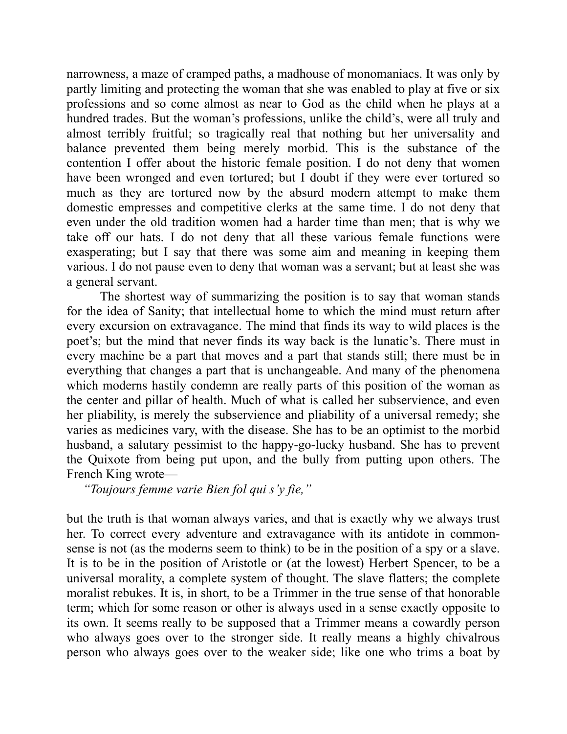narrowness, a maze of cramped paths, a madhouse of monomaniacs. It was only by partly limiting and protecting the woman that she was enabled to play at five or six professions and so come almost as near to God as the child when he plays at a hundred trades. But the woman's professions, unlike the child's, were all truly and almost terribly fruitful; so tragically real that nothing but her universality and balance prevented them being merely morbid. This is the substance of the contention I offer about the historic female position. I do not deny that women have been wronged and even tortured; but I doubt if they were ever tortured so much as they are tortured now by the absurd modern attempt to make them domestic empresses and competitive clerks at the same time. I do not deny that even under the old tradition women had a harder time than men; that is why we take off our hats. I do not deny that all these various female functions were exasperating; but I say that there was some aim and meaning in keeping them various. I do not pause even to deny that woman was a servant; but at least she was a general servant.

 The shortest way of summarizing the position is to say that woman stands for the idea of Sanity; that intellectual home to which the mind must return after every excursion on extravagance. The mind that finds its way to wild places is the poet's; but the mind that never finds its way back is the lunatic's. There must in every machine be a part that moves and a part that stands still; there must be in everything that changes a part that is unchangeable. And many of the phenomena which moderns hastily condemn are really parts of this position of the woman as the center and pillar of health. Much of what is called her subservience, and even her pliability, is merely the subservience and pliability of a universal remedy; she varies as medicines vary, with the disease. She has to be an optimist to the morbid husband, a salutary pessimist to the happy-go-lucky husband. She has to prevent the Quixote from being put upon, and the bully from putting upon others. The French King wrote—

 *"Toujours femme varie Bien fol qui s'y fie,"* 

but the truth is that woman always varies, and that is exactly why we always trust her. To correct every adventure and extravagance with its antidote in commonsense is not (as the moderns seem to think) to be in the position of a spy or a slave. It is to be in the position of Aristotle or (at the lowest) Herbert Spencer, to be a universal morality, a complete system of thought. The slave flatters; the complete moralist rebukes. It is, in short, to be a Trimmer in the true sense of that honorable term; which for some reason or other is always used in a sense exactly opposite to its own. It seems really to be supposed that a Trimmer means a cowardly person who always goes over to the stronger side. It really means a highly chivalrous person who always goes over to the weaker side; like one who trims a boat by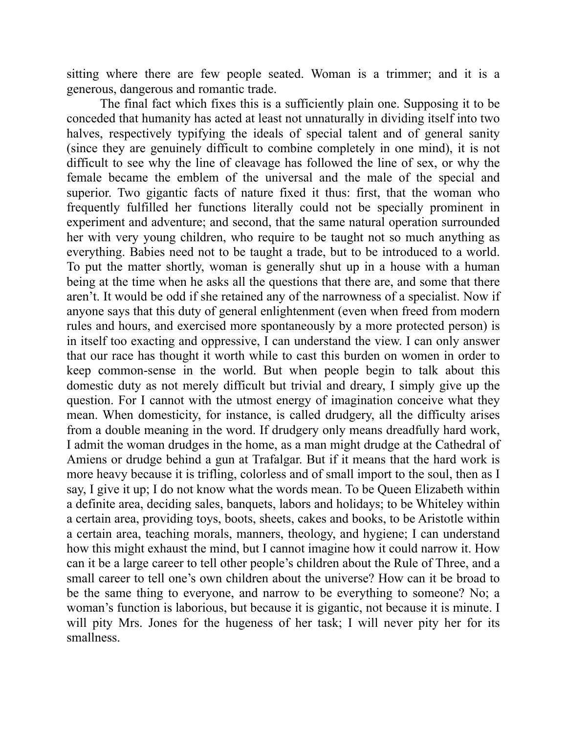sitting where there are few people seated. Woman is a trimmer; and it is a generous, dangerous and romantic trade.

 The final fact which fixes this is a sufficiently plain one. Supposing it to be conceded that humanity has acted at least not unnaturally in dividing itself into two halves, respectively typifying the ideals of special talent and of general sanity (since they are genuinely difficult to combine completely in one mind), it is not difficult to see why the line of cleavage has followed the line of sex, or why the female became the emblem of the universal and the male of the special and superior. Two gigantic facts of nature fixed it thus: first, that the woman who frequently fulfilled her functions literally could not be specially prominent in experiment and adventure; and second, that the same natural operation surrounded her with very young children, who require to be taught not so much anything as everything. Babies need not to be taught a trade, but to be introduced to a world. To put the matter shortly, woman is generally shut up in a house with a human being at the time when he asks all the questions that there are, and some that there aren't. It would be odd if she retained any of the narrowness of a specialist. Now if anyone says that this duty of general enlightenment (even when freed from modern rules and hours, and exercised more spontaneously by a more protected person) is in itself too exacting and oppressive, I can understand the view. I can only answer that our race has thought it worth while to cast this burden on women in order to keep common-sense in the world. But when people begin to talk about this domestic duty as not merely difficult but trivial and dreary, I simply give up the question. For I cannot with the utmost energy of imagination conceive what they mean. When domesticity, for instance, is called drudgery, all the difficulty arises from a double meaning in the word. If drudgery only means dreadfully hard work, I admit the woman drudges in the home, as a man might drudge at the Cathedral of Amiens or drudge behind a gun at Trafalgar. But if it means that the hard work is more heavy because it is trifling, colorless and of small import to the soul, then as I say, I give it up; I do not know what the words mean. To be Queen Elizabeth within a definite area, deciding sales, banquets, labors and holidays; to be Whiteley within a certain area, providing toys, boots, sheets, cakes and books, to be Aristotle within a certain area, teaching morals, manners, theology, and hygiene; I can understand how this might exhaust the mind, but I cannot imagine how it could narrow it. How can it be a large career to tell other people's children about the Rule of Three, and a small career to tell one's own children about the universe? How can it be broad to be the same thing to everyone, and narrow to be everything to someone? No; a woman's function is laborious, but because it is gigantic, not because it is minute. I will pity Mrs. Jones for the hugeness of her task; I will never pity her for its smallness.